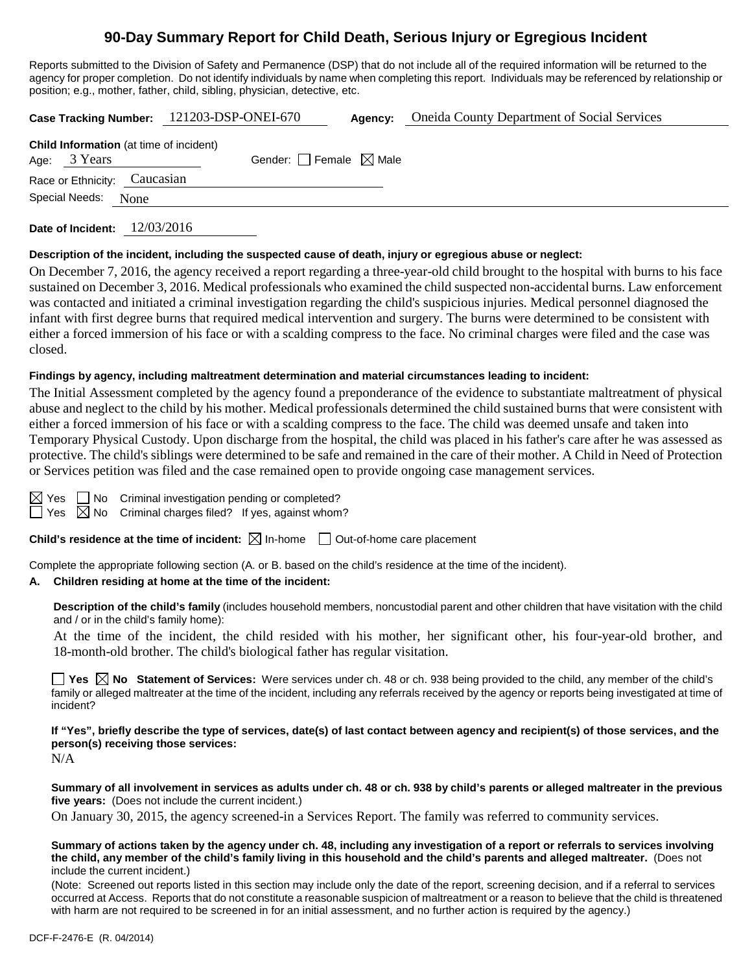# **90-Day Summary Report for Child Death, Serious Injury or Egregious Incident**

Reports submitted to the Division of Safety and Permanence (DSP) that do not include all of the required information will be returned to the agency for proper completion. Do not identify individuals by name when completing this report. Individuals may be referenced by relationship or position; e.g., mother, father, child, sibling, physician, detective, etc.

|                                                                | Case Tracking Number: 121203-DSP-ONEI-670 | Agency: | <b>Oneida County Department of Social Services</b> |
|----------------------------------------------------------------|-------------------------------------------|---------|----------------------------------------------------|
| <b>Child Information</b> (at time of incident)<br>Age: 3 Years | Gender: Female $\boxtimes$ Male           |         |                                                    |
| Race or Ethnicity: Caucasian                                   |                                           |         |                                                    |
| Special Needs: None                                            |                                           |         |                                                    |
| Date of Incident:                                              | 12/03/2016                                |         |                                                    |

#### **Description of the incident, including the suspected cause of death, injury or egregious abuse or neglect:**

On December 7, 2016, the agency received a report regarding a three-year-old child brought to the hospital with burns to his face sustained on December 3, 2016. Medical professionals who examined the child suspected non-accidental burns. Law enforcement was contacted and initiated a criminal investigation regarding the child's suspicious injuries. Medical personnel diagnosed the infant with first degree burns that required medical intervention and surgery. The burns were determined to be consistent with either a forced immersion of his face or with a scalding compress to the face. No criminal charges were filed and the case was closed.

#### **Findings by agency, including maltreatment determination and material circumstances leading to incident:**

The Initial Assessment completed by the agency found a preponderance of the evidence to substantiate maltreatment of physical abuse and neglect to the child by his mother. Medical professionals determined the child sustained burns that were consistent with either a forced immersion of his face or with a scalding compress to the face. The child was deemed unsafe and taken into Temporary Physical Custody. Upon discharge from the hospital, the child was placed in his father's care after he was assessed as protective. The child's siblings were determined to be safe and remained in the care of their mother. A Child in Need of Protection or Services petition was filed and the case remained open to provide ongoing case management services.

|   | es<br>Y | $\overline{\phantom{a}}$ |
|---|---------|--------------------------|
| I | es      | ┃                        |

 $\Box$  No Criminal investigation pending or completed?  $\overline{\boxtimes}$  No Criminal charges filed? If yes, against whom?

**Child's residence at the time of incident:**  $\boxtimes$  In-home  $\Box$  Out-of-home care placement

Complete the appropriate following section (A. or B. based on the child's residence at the time of the incident).

## **A. Children residing at home at the time of the incident:**

**Description of the child's family** (includes household members, noncustodial parent and other children that have visitation with the child and / or in the child's family home):

At the time of the incident, the child resided with his mother, her significant other, his four-year-old brother, and 18-month-old brother. The child's biological father has regular visitation.

**Yes No** Statement of Services: Were services under ch. 48 or ch. 938 being provided to the child, any member of the child's family or alleged maltreater at the time of the incident, including any referrals received by the agency or reports being investigated at time of incident?

**If "Yes", briefly describe the type of services, date(s) of last contact between agency and recipient(s) of those services, and the person(s) receiving those services:**

N/A

**Summary of all involvement in services as adults under ch. 48 or ch. 938 by child's parents or alleged maltreater in the previous five years:** (Does not include the current incident.)

On January 30, 2015, the agency screened-in a Services Report. The family was referred to community services.

**Summary of actions taken by the agency under ch. 48, including any investigation of a report or referrals to services involving the child, any member of the child's family living in this household and the child's parents and alleged maltreater.** (Does not include the current incident.)

(Note: Screened out reports listed in this section may include only the date of the report, screening decision, and if a referral to services occurred at Access. Reports that do not constitute a reasonable suspicion of maltreatment or a reason to believe that the child is threatened with harm are not required to be screened in for an initial assessment, and no further action is required by the agency.)